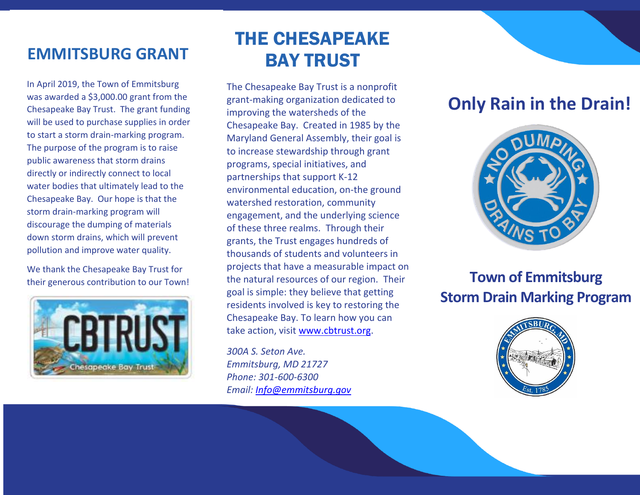## **EMMITSBURG GRANT**

In April 2019, the Town of Emmitsburg was awarded a \$3,000.00 grant from the Chesapeake Bay Trust. The grant funding will be used to purchase supplies in order to start a storm drain-marking program. The purpose of the program is to raise public awareness that storm drains directly or indirectly connect to local water bodies that ultimately lead to the Chesapeake Bay. Our hope is that the storm drain-marking program will discourage the dumping of materials down storm drains, which will prevent pollution and improve water quality.

We thank the Chesapeake Bay Trust for their generous contribution to our Town!



# THE CHESAPEAKE BAY TRUST

The Chesapeake Bay Trust is a nonprofit grant-making organization dedicated to improving the watersheds of the Chesapeake Bay. Created in 1985 by the Maryland General Assembly, their goal is to increase stewardship through grant programs, special initiatives, and partnerships that support K-12 environmental education, on-the ground watershed restoration, community engagement, and the underlying science of these three realms. Through their grants, the Trust engages hundreds of thousands of students and volunteers in projects that have a measurable impact on the natural resources of our region. Their goal is simple: they believe that getting residents involved is key to restoring the Chesapeake Bay. To learn how you can take action, visit [www.cbtrust.org.](http://www.cbtrust.org/)

*300A S. Seton Ave. Emmitsburg, MD 21727 Phone: 301-600-6300 Email: [Info@emmitsburg.gov](mailto:Info@emmitsburg.gov)*

## **Only Rain in the Drain!**



### **Town of Emmitsburg Storm Drain Marking Program**